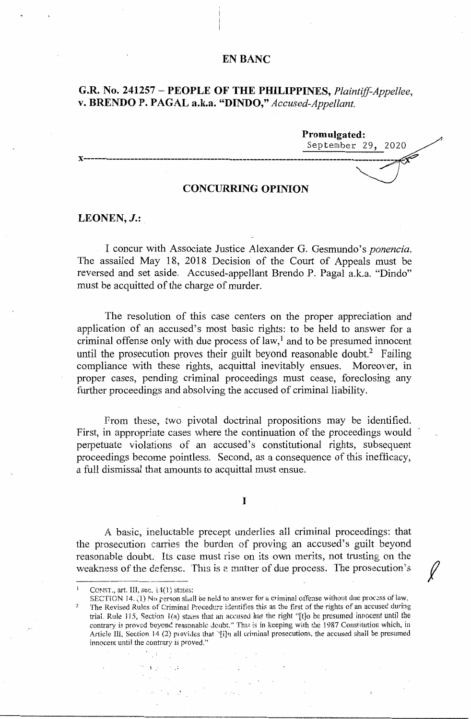## **EN BANC**

# **G.R. No. 241257 - PEOPLE OF THE PHILIPPINES,** *Plaintiff-Appellee,*  **v. BRENDO P. PAGAL a.k.a. "DINDO,"** *Accused-Appellant.*

**Promulgated:**  September 29, 2020 **x-------------------------------------------------------------------------------------- CONCURRING OPINION** 

## **LEONEN,J.:**

I concur with Associate Justice Alexander G. Gesmundo's *ponencia*. The assailed May 18, 2018 Decision of the Court of Appeals must be reversed and set aside. Accused-appellant Brendo P. Pagal a.k.a. "Dindo" must be acquitted of the charge of murder.

The resolution of this case centers on the proper appreciation and application of an accused's most basic rights: to be held to answer for a criminal offense only with due process of  $law<sub>i</sub><sup>1</sup>$  and to be presumed innocent until the prosecution proves their guilt beyond reasonable doubt.<sup>2</sup> Failing compliance with these rights, acquittal inevitably ensues. Moreover, in proper cases, pending criminal proceedings must cease, foreclosing any further proceedings and absolving the accused of criminal liability.

from these, two pivotal doctrinal propositions may be identified. First, in appropriate cases where the continuation of the proceedings would perpetuate violations of an accused's constitutional rights, subsequent proceedings become pointless. Second, as a consequence of this inefficacy, a full dismissal that amounts to acquittal must ensue.

I

A basic, ineluctable precept underlies all criminal proceedings: that the prosecution carries the burden of proving an accused's guilt beyond reasonable doubt. Its case must rise on its own merits, not trusting on the weakness of the defense. This is a matter of due process. The prosecution's weakingss of the defense.

 $\int$ 

 $\sim 10^6$ 

外国語 (大学)

 $\mathcal{L}_{\rm{max}}$  and  $\mathcal{L}_{\rm{max}}$ 

 $1.24 - 1.$ 

CONST., art. III, sec. 14(1) states:<br>SECTION 14. (1) No person shall be held to answer for a criminal offense without due process of law. The Revised Rules of Criminal Procedure identifies this as the first of the rights of an accused during trial. Rule 115, Section  $I(a)$  states that an accused has the right "[t]o be presumed innocent until the contrary is proved beyend reasonable doubt." This is in keeping with the 1987 Constitution which, in Article III, Section 14 (2) provides that '[i]n all criminal prosecutions, the accused shall be presumed innocent until the contrary is proved."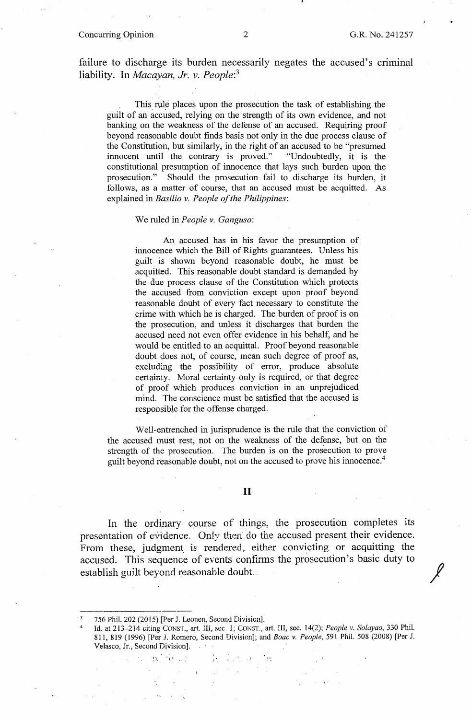## Concurring Opinion 2 G.R. No. 241257

•

failure to discharge its burden necessarily negates the accused's criminal liability. In *Macayan, Jr. v. People:<sup>3</sup>*

This rule places upon the prosecution the task of establishing the guilt of an accused, relying on the strength of its own evidence, and not banking on the weakness of the defense of an accused. Requiring proof beyond reasonable doubt finds basis not only in the due process clause of the Constitution, but similarly, in the right of an accused to be "presumed innocent until the contrary is proved." "Undoubtedly, it is the innocent until the contrary is proved." constitutional presumption of innocence that lays such burden upon the prosecution." Should the prosecution fail to discharge its burden, it follows, as a matter of course, that an accused must be acquitted. As explained in *Basilio v. People of the Philippines:* 

### We ruled in *People v. Ganguso:*

An accused has in his favor the presumption of innocence which the Bill of Rights guarantees. Unless his guilt is shown beyond reasonable doubt, he must be acquitted. This reasonable doubt standard is demanded by the due process clause of the Constitution which protects the accused from conviction except upon proof beyond reasonable doubt of every fact necessary to constitute the crime with which he is charged. The burden of proof is on the prosecution, and unless it discharges that burden the accused need not even offer evidence in his behalf, and he would be entitled to an acquittal. Proof beyond reasonable doubt does not, of course, mean such degree of proof as, excluding the possibility of error, produce absolute certainty. Moral certainty only is required, or that degree of proof which produces conviction in an unprejudiced mind. The conscience must be satisfied that the accused is responsible for the offense charged.

Well-entrenched in jurisprudence is the rule that the conviction of the accused must rest, not on the weakness of the defense, but on the strength of the prosecution. The burden is on the prosecution to prove guilt beyond reasonable doubt, not on the accused to prove his innocence.<sup>4</sup>

### II

In the ordinary course of things, the prosecution completes its presentation of evidence. Only then do the accused present their evidence. From these, judgment is rendered, either convicting or acquitting the accused. This sequence of events confirms the prosecution's basic duty to establish guilt beyond reasonable doubt.

 $W^{\pm}(\mathbb{R}^n\times\mathbb{R}^n)$ 

.l

<sup>3</sup>  756 Phil. 202 (2015) [Per J. Leonen, Second Division].

<sup>4</sup>  Id. at 213--214 citing CONST., art. m, sec. l; CONST., art. III, sec. 14(2); *People* V. *Solayao,* 330 Phil. 811, 819 (1996) [Per J. Romero, Second Division]; and *Boac v. People,* 591 Phil. 508 (2008) [Per J. Velasco, Jr., Second Division].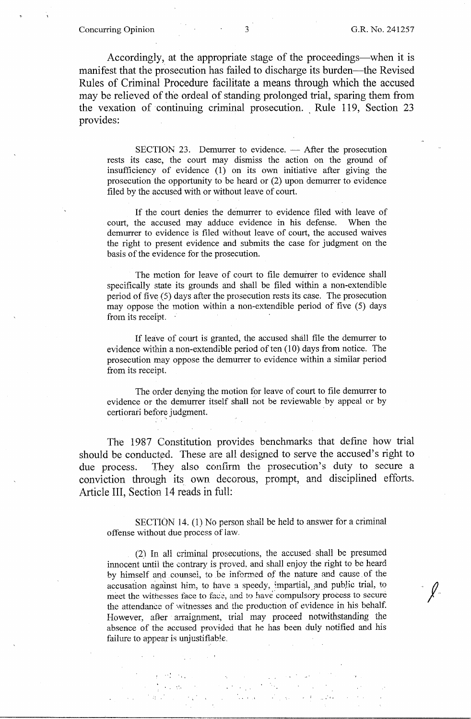**Concurring Opinion** 3 G.R. No. 241257

 $\sqrt{2}$ 

Accordingly, at the appropriate stage of the proceedings—when it is manifest that the prosecution has failed to discharge its burden-the Revised Rules of Criminal Procedure facilitate a means through which the accused may be relieved of the ordeal of standing prolonged trial, sparing them from the vexation of continuing criminal prosecution. Rule 119, Section 23 provides:

 $SECTION 23.$  Demurrer to evidence.  $-$  After the prosecution rests its case, the court may dismiss the action on the ground of insufficiency of evidence (1) on its own initiative after giving the prosecution the opportunity to be heard or (2) upon demurrer to evidence filed by the accused with or without leave of court.

If the court denies the demurrer to evidence filed with leave of court, the accused may adduce evidence in his defense. When the demurrer to evidence is filed without leave of court, the accused waives the right to present evidence and submits the case for judgment on the basis of the evidence for the prosecution.

The motion for leave of court to file demurrer to evidence shall specifically state its grounds and shall be filed within a non-extendible period of five (5) days after the prosecution rests its case. The prosecution may oppose the motion within a non-extendible period of five (5) days from its receipt.

If leave of court is granted, the accused shall file the demurrer to evidence within a non-extendible period of ten (10) days from notice. The prosecution may oppose the demurrer to evidence within a similar period from its receipt.

The order denying the motion for leave of court to file demurrer to evidence or the demurrer itself shall not be reviewable by appeal or by certiorari before judgment.

The 1987 Constitution provides benchmarks that define how trial should be conducted. These are all designed to serve the accused's right to due process. They also confirm the prosecution's duty to secure a conviction through its\_ own decorous, prompt, and disciplined efforts. Article III, Section 14 reads in foll:

SECTION 14. (1) No person shall be held to answer for a criminal offense without due process of law

(2) In all criminal prosecutions, the accused shall be presumed innocent until the contrary is proved, and shall enjoy the right to be heard by himself and counsel, to be informed of the nature and cause of the accusation against him, to have a speedy, impartial, and public trial, to meet the witnesses face to face, and to have compulsory process to secure the attendance of witnesses and the production of evidence in his behalf. However, after arraignment, trial may proceed notwithstanding the absence of the accused provided that he has been duly notified and his failure to appear is unjustifiable.

 $\cdot\cdot\cdot$  .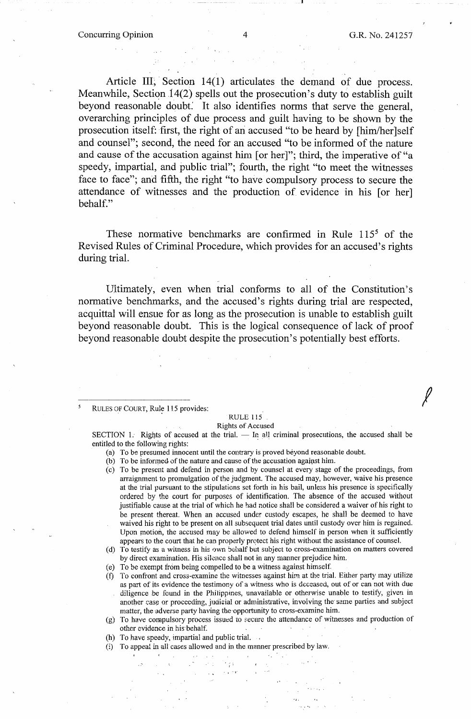*!* 

Article III, Section  $14(1)$  articulates the demand of due process. Meanwhile, Section  $14(2)$  spells out the prosecution's duty to establish guilt beyond reasonable doubt: It also identifies norms that serve the general, overarching principles of due process and guilt having to be shown by the prosecution itself: first, the right of an accused "to be heard by [him/her ]self and counsel"; second, the need for an accused "to be informed of the nature and cause of the accusation against him [or her]"; third, the imperative of "a speedy, impartial, and public trial"; fourth, the right "to meet the witnesses face to face"; and fifth, the right "to have compulsory process to secure the attendance of witnesses and the production of evidence in his [or her] behalf."

These normative benchmarks are confirmed in Rule  $115<sup>5</sup>$  of the Revised Rules of Criminal Procedure, which provides for an accused's rights during trial.

Ultimately, even when trial conforms to all of the Constitution's normative benchmarks, and the accused's rights during trial are respected, acquittal will ensue for as long as the prosecution is unable to establish guilt beyond reasonable doubt. This is the logical consequence of lack of proof beyond reasonable doubt despite the prosecution's potentially best efforts.

RULES OF COURT, Rule 115 provides:

#### RULE 115 Rights of Accused

SECTION 1. Rights of accused at the trial.  $-$  In all criminal prosecutions, the accused shall be entitled to the following rights:

- (a) To be presumed innocent until the contrary is proved beyond reasonable doubt.
- (b) To be informed of the nature and cause of the accusation against him.
- (c) To be present and defend in person and by counsel at every stage of the proceedings, from arraignment to promulgation of the judgment. The accused may, however, waive his presence at the trial pursuant to the stipulations set forth in his bail, unless his presence is specifically ordered by the court for purposes of identification. The absence of the accused without justifiable cause at the trial of which he had notice shall be considered a waiver of his right to be present thereat. When an accused under custody escapes, he shall be deemed to have waived his right to be present on all subsequent trial dates until custody over him is regained. Upon motion, the accused may be allowed to defend himself in person when it sufficiently appears to the court that he can properly protect his right without the assistance of counsel.
- (d) To testify as a witness in his own behalf but subject to cross-examination on matters covered by direct examination. His silence shall not in any manner prejudice him.
- (e) To be exempt from being compelled to be a witness against himself.
- (f) To confront and cross-examine the witnesses against him. at the trial. Either party may utilize as part of its evidence the testimony of a witness who is deceased, out of or can not with due diligence be found in the Philippmes, unavailable or otherwise unable to testify, given in another case or proceeding, judicial or administrative, involving the same parties and subject matter, the adverse party having the-opportunity to cross-examine him.
- (g) To have compulsory process issued to secure the attendance of witnesses and production of other evidence in his behalf.
- (h) To have speedy, impartial and public trial.
- (i) To appeal in all cases allowed and in the manner prescribed by law.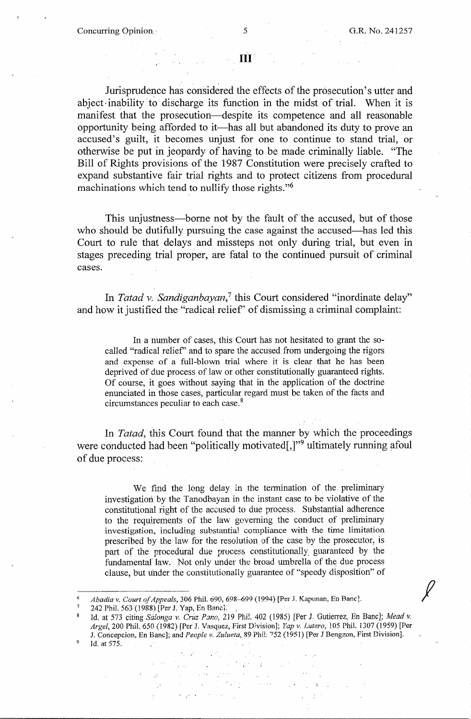*f* 

## **n1**

Jurisprudence has considered the effects of the prosecution's utter and abject inability to discharge its function in the midst of trial. When it is manifest that the prosecution-despite its competence and all reasonable opportunity being afforded to it-has all but abandoned its duty. to prove an accused's guilt, it becomes unjust for one to continue to stand trial, or otherwise be put in jeopardy of having to be made criminally liable. "The Bill of Rights provisions of the 1987 Constitution were precisely crafted to expand substantive fair trial rights and to protect citizens from procedural machinations which tend to nullify those rights."<sup>6</sup>

This unjustness—borne not by the fault of the accused, but of those who should be dutifully pursuing the case against the accused—has led this Court to rule that delays and missteps not only during trial, but even in stages preceding trial proper, are fatal to the continued pursuit of criminal cases.

In *Tatad v; Sandiganbayan,7* this Court considered "inordinate delay" and how it justified the "radical relief' of dismissing a criminal complaint:

In a number of cases, this Court has not hesitated to grant the socalled "radical relief" and to spare the accused from undergoing the rigors and expense of a full-blown trial where it is clear that he has been deprived of due process of law or other constitutionally guaranteed rights. Of course, it goes without saying that in the application of the doctrine enunciated in those cases, particular regard must be taken of the facts and circumstances peculiar to each case. <sup>8</sup>

In *Tatad,* this Court found that the manner by which the proceedings were conducted had been "politically motivated[,]"<sup>9</sup> ultimately running afoul of due process:

We find the long delay in the termination of the preliminary investigation by the Tanodbayan in the instant case to be violative of the constitutional tight of the accused to due process. Substantial adherence to the requirements of the law governing the conduct of preliminary investigation, including substantial compliance with the time limitation prescribed by the law for the resolution of the case by the prosecutor, is part of the procedural due process constitutionally\_ guaranteed by the fundamental law. Not only under the broad umbrella of the due process clause, but under the constitutionally guarantee of "speedy disposition" of

 $\mathcal{A}$ 

 $\mathcal{A}_\text{max}$  .

Abadia v. Court of Appeals, 306 Phil. 690, 698--699 (1994) [Per J. Kapunan, En Banc].

<sup>242</sup> Phil. 563 (1988) [Per J. Yap, En Banc].

Id. at 573 citing *Salonga v. Cruz Pano*, 219 Phil. 402 (1985) [Per J. Gutierrez, En Banc]; Mead v. *Argel,* 200 Phil. 650 (1982) [Per J. Vasquez, First Division]; *Yap v. Lutero,* 105 Phil. 1307 (1959) [Per J. Concepcion, En Banc]; *and·Peoplc v. Zulueta,* 89 Phil: "152 (1951) [Per J Bengzon, First Division]. <sup>9</sup>Id. at 575.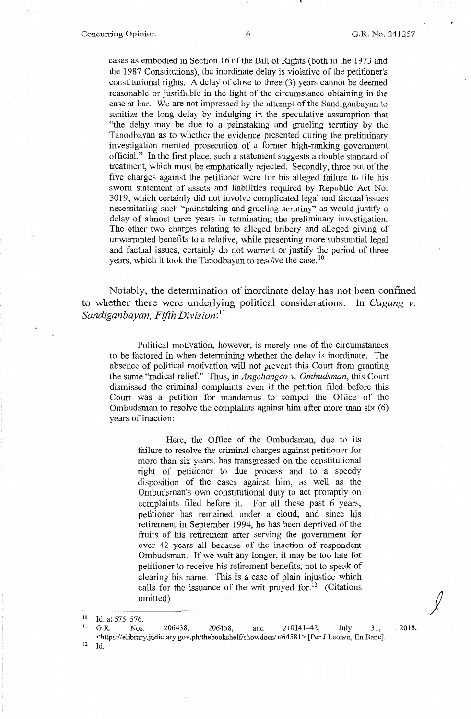cases as embodied in Section 16 of the Bill of Rights (both in the 1973 and the 1987 Constitutions), the inordinate delay is violative of the petitioner's constitutional rights. A delay of close to three (3) years cannot be deemed reasonable or justifiable in the light of the circumstance obtaining in the case at bar. We are not impressed by the attempt of the Sandiganbayan to sanitize the long delay by indulging in the speculative assumption that "the delay may be due to a painstaking and grueling scrutiny by the Tanodbayan as to whether the evidence presented during the preliminary investigation merited prosecution of a former high-ranking government official." In the first place, such a statement suggests a double standard of treatment, which must be emphatically rejected. Secondly, three out of the five charges against the petitioner were for his alleged failure to file his sworn statement of assets and liabilities required by Republic Act No. 3019, which certainly did not involve complicated legal and factual issues necessitating such "painstaking and grueling scrutiny" as would justify a delay of almost three years in terminating the preliminary investigation. The other two charges relating to alleged bribery and alleged giving of unwarranted benefits to a relative, while presenting more substantial legal and factual issues, certainly do not warrant or justify the period of three years, which it took the Tanodbayan to resolve the case.<sup>10</sup>

Notably, the determination of inordinate delay has not been confined to whether there were underlying political considerations. In *Cagang v. Sandiganbayan, Fifth Division:* <sup>11</sup>

Political motivation, however, is merely one of the circumstances to be factored in when determining whether the delay is inordinate. The absence of political motivation will not prevent this Court from granting the same "radical relief." Thus, in *Angchangco v. Ombudsman,* this Court dismissed the criminal complaints even if the petition filed before this Court was a petition for mandamus to compel the Office of the Ombudsman to resolve the complaints against him after more than six (6) years of inaction:

Here, the Office of the Ombudsman, due to its failure to resolve the criminal charges against petitioner for more than six years, has transgressed on the constitutional right of petitioner to due process and to a speedy disposition of the cases against him, as well as the Ombudsman's own constitutional duty to act promptly on complaints filed before it. For all these past 6 years, petitioner has remained under a cloud, and since his retirement in September 1994, he has been deprived of the fruits of his retirement after serving the government for over 42 years all because of the inaction of respondent Ombudsman. If we wait any longer, it may be too late for petitioner to receive his retirement benefits, not to speak of clearing his name. This is a case of plain injustice which calls for the issuance of the writ prayed for.<sup>12</sup> (Citations omitted)

*j* 

<sup>&</sup>lt;sup>10</sup> Id. at 575–576.<br><sup>11</sup> G.R. Nos. 206438, 206458, and 210141–42, July 31, <https://elibrary.judiciary.gov.ph/thebookshelf/showdocs/1/64581> [Per J Leonen, En Banc]. 12 Id.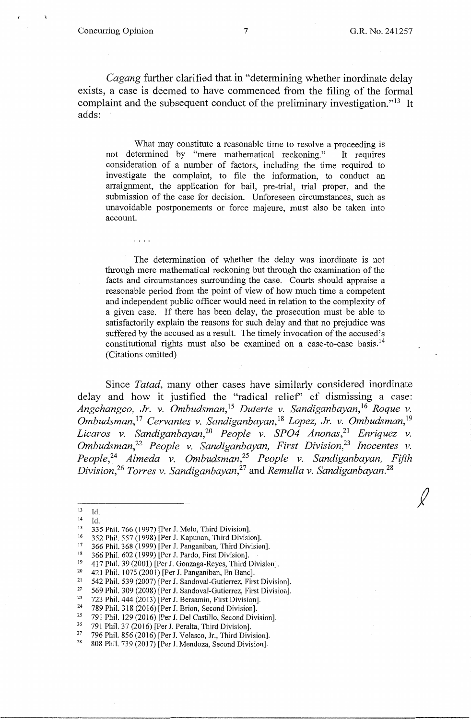*Cagang* further clarified that in "determining whether inordinate delay exists, a case is deemed to have commenced from the filing of the formal complaint and the subsequent conduct of the preliminary investigation."<sup>13</sup> It adds:

What may constitute a reasonable time to resolve a proceeding is not determined by "mere mathematical reckoning." It requires consideration of a number of factors, including the time required to investigate the complaint, to file the information, to conduct an arraignment, the application for bail, pre-trial, trial proper, and the submission of the case for decision. Unforeseen circumstances, such as unavoidable postponements or force majeure, must also be taken into account.

The determination of whether the delay was inordinate is not through mere mathematical reckoning but through the examination of the facts and circumstances surrounding the case. Courts should appraise a reasonable period from the point of view of how much time a competent and independent public officer would need in relation to the complexity of a given case. If there has been delay, the prosecution must be able to satisfactorily explain the reasons for such delay and that no prejudice was suffered by the accused as a result. The timely invocation of the accused's constitutional rights must also be examined on a case-to-case basis.<sup>14</sup> (Citations omitted)

Since *Tatad,* many other cases have similarly considered inordinate delay and how it justified the "radical relief' of dismissing a case: *Angchangco, Jr. v. Ombudsman,* <sup>15</sup>*Duterte v. Sandiganbayan,* <sup>16</sup>*Roque v. Ombudsman,* <sup>17</sup>*Cervantes v. Sandiganbayan,* <sup>18</sup>*Lopez, Jr. v. Ombudsman,* <sup>19</sup> Licaros v. Sandiganbayan,<sup>20</sup> People v. SPO4 Anonas,<sup>21</sup> Enriquez v. *Ombudsman,22 People v. Sandiganbayan, First Division,23 Inocentes v. People,24 Almeda v. Ombudsman,25 People v. Sandiganbayan, Fifth Division,26 Torres v. Sandiganbayan,27* and *Remulla v. Sandiganbayan. <sup>28</sup>*

 $13$  Id.<br> $14$  Id.

<sup>21</sup> 542 Phil. 539 (2007) [Per J. Sandoval-Gutierrez, First Division].<br><sup>22</sup> 560 Phil. 200 (2008) [Der J. Sandoval Gutierrez, First Division].

<sup>22</sup> 569 Phil. 309 (2008) [Per J. Sandoval-Gutierrez, First Division].<br><sup>23</sup> 723 Phil. 444 (2013) [Per J. Bersamin, First Division].<br><sup>24</sup> 780 Phil. 318 (2016) [Per J. Brian, Second Division].

- 
- 
- 

<sup>&</sup>lt;sup>14</sup> Id.<br>
<sup>15</sup> 335 Phil. 766 (1997) [Per J. Melo, Third Division].<br>
<sup>16</sup> 352 Phil. 557 (1998) [Per J. Kapunan, Third Division].<br>
<sup>17</sup> 366 Phil. 368 (1999) [Per J. Panganiban, Third Division].<br>
<sup>18</sup> 366 Phil. 602 (1999) [P

<sup>&</sup>lt;sup>20</sup> 421 Phil.  $1075 (2001)$  [Per J. Panganiban, En Banc].<br><sup>21</sup> 542 Phil. 539 (2007) [Per J. Sandoval-Gutierrez, Eirs

<sup>&</sup>lt;sup>24</sup> 789 Phil. 318 (2016) [Per J. Brion, Second Division].<br><sup>25</sup> 791 Phil. 129 (2016) [Per J. Del Castillo, Second Division].<br><sup>26</sup> 791 Phil. 37 (2016) [Per J. Peralta, Third Division].<br><sup>27</sup> 796 Phil. 856 (2016) [Per J. Vel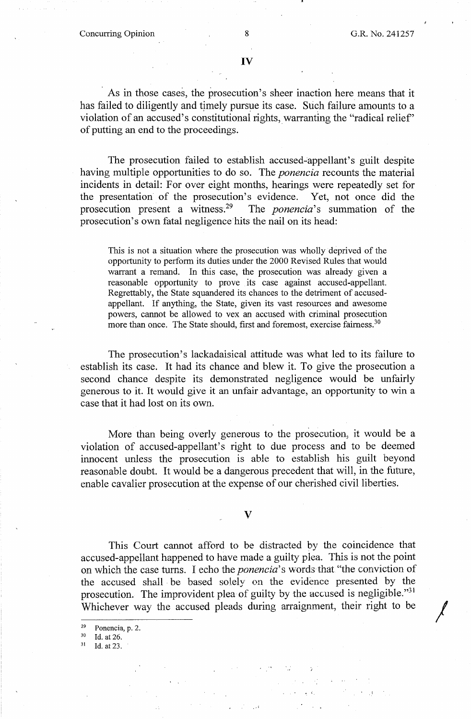## **IV**

As in those cases, the prosecution's sheer inaction here means that it has failed to diligently and timely pursue its case. Such failure amounts to a violation of an accused's constitutional rights, warranting the "radical relief" of putting an end to the proceedings.

The prosecution failed to establish accused-appellant's guilt despite having multiple opportunities to do so. The *ponencia* recounts the material incidents in detail: For over eight months, hearings were repeatedly set for the presentation of the prosecution's evidence. Yet, not once did the prosecution present a witness.<sup>29</sup> The *ponencia*'s summation of the prosecution's own fatal negligence hits the nail on its head:

This is not a situation where the prosecution was wholly deprived of the opportunity to perform its duties under the 2000 Revised Rules that would warrant a remand. In this case, the prosecution was already given a reasonable opportunity to prove its case against accused-appellant. Regrettably, the State squandered its chances to the detriment of accusedappellant. If anything, the State, given its vast resources and awesome powers, cannot be allowed to vex an accused with criminal prosecution more than once. The State should, first and foremost, exercise fairness.<sup>30</sup>

The prosecution's lackadaisical attitude was what led to its failure to establish its case. It had its chance and blew it. To give the prosecution a second chance despite its demonstrated negligence would be unfairly generous to it. It would give it an unfair advantage, an opportunity to win a case that it had lost on its own.

More than being overly generous to the prosecution, it would be a violation of accused-appellant's right to due process and to be deemed innocent unless the prosecution is able to establish his guilt beyond reasonable doubt. It would be a dangerous precedent that will, in the future, enable cavalier prosecution at the expense of our cherished civil liberties.

## **V**

This Court cannot afford to be distracted by the coincidence that accused-appellant happened to have made a guilty plea. This is not the point on which the case turns. I echo the *ponencia's* words that"the conviction of the accused shall. be based solely on the evidence presented by the prosecution. The improvident plea of guilty by the accused is negligible."<sup>31</sup> Whichever way the accused pleads during arraignment, their right to be

<sup>&</sup>lt;sup>29</sup> Ponencia, p. 2.<br>
<sup>30</sup> Id. at 26.<br>
<sup>31</sup> Id. at 23.

Id. at 23.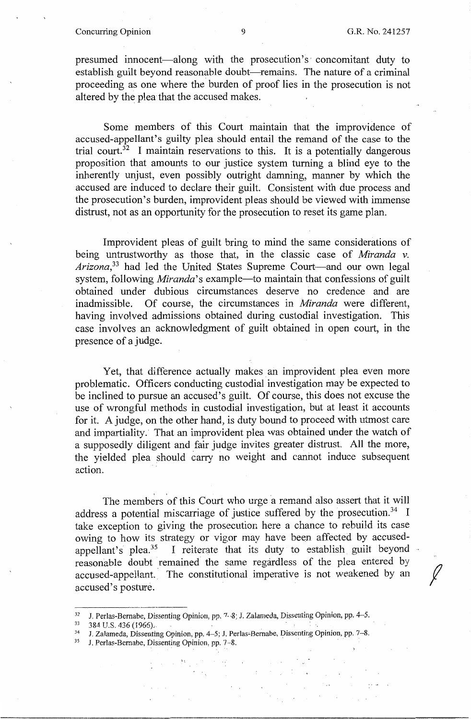## Concurring Opinion 9 G.R. No. 241257

presumed innocent—along with the prosecution's concomitant duty to establish guilt beyond reasonable doubt—remains. The nature of a criminal proceeding as one where the burden of proof lies in the prosecution is not altered by the plea that the accused makes.

Some members of this Court maintain that the improvidence of accused-appellant's guilty plea should entail the remand of the case to the trial court.<sup>32</sup> I maintain reservations to this. It is a potentially dangerous proposition that amounts to our justice system turning a blind eye to the inherently unjust, even possibly outright damning, manner by which the accused are induced to declare their guilt. Consistent with due process and the prosecution's burden, improvident pleas should be viewed with immense distrust, not as an opportunity for the prosecution to reset its game plan.

Improvident pleas of guilt bring to mind the same considerations of being untrustworthy as those that, in the classic case of *Miranda* v. *Arizona,33* had led the United States Supreme Court--and our own legal system, following *Miranda*'s example-to maintain that confessions of guilt obtained under dubious circumstances deserve no credence and are inadmissible. Of course, the circumstances in *Miranda* were different, having involved admissions obtained during custodial investigation. This case involves an acknowledgment of guilt obtained in open court, in the presence of a judge.

Yet, that difference actually makes an improvident plea even more problematic. Officers conducting custodial investigation may be expected to be inclined to pursue an accused's guilt. Of course, this does not excuse the use of wrongful methods in custodial investigation, but at least it accounts for it. A judge, on the other hand, is duty bound to proceed with utmost care and impartiality. That an improvident plea was obtained under the watch of a supposedly diligent and fair judge invites greater distrust. All the more, the yielded plea should carry no weight and cannot induce subsequent action.

The members of this Court who urge a remand also assert that it will address a potential miscarriage of justice suffered by the prosecution.<sup>34</sup> I take exception to giving the prosecution here a chance to rebuild its case owing to how its strategy or vigor may have been affected by accusedappellant's plea.<sup>35</sup> I reiterate that its duty to establish guilt beyond reasonable doubt remained the same regardless of the plea entered by accused-appellant. The constitutional imperative is not weakened by an accused's posture.

- 
- 32 J. Perlas-Bernabe, Dissenting Opinion, pp. 7-8; J. Zalameda, Dissenting Opinion, pp. 4-5.<br>33 384 U.S. 436 (1966).<br>34 J. Zalameda, Dissenting Opinion, pp. 4-5; J. Perlas-Bernabe, Dissenting Opinion, pp. 7-8.<br>35 J. Perlas

 $\epsilon_{\rm{max}}$ 

引いて 熱気の かぜい やく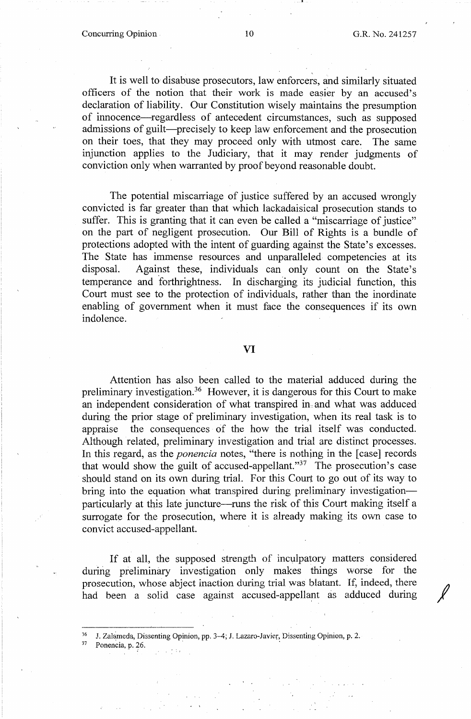It is well to disabuse prosecutors, law enforcers, and similarly situated officers of the notion that their work is made easier by an accused's declaration of liability. Our Constitution wisely maintains the presumption of innocence-regardless of antecedent circumstances, such as supposed admissions of guilt---precisely to keep law enforcement and the prosecution on their toes, that they may proceed only with utmost care. The same injunction applies to the Judiciary, that it may render judgments of conviction only when warranted by proof beyond reasonable doubt.

The potential miscarriage of justice suffered by an accused wrongly convicted is far greater than that which lackadaisical prosecution stands to suffer. This is granting that it can even be called a "miscarriage of justice" on the part of negligent prosecution. Our Bill of Rights is a bundle of protections adopted with the intent of guarding against the State's excesses. The State has immense resources and unparalleled competencies at its disposal. Against these, individuals can only count on the State's temperance and forthrightness. In discharging its judicial function, this Court must see to the protection of individuals, rather than the inordinate enabling of government when it must face the consequences if its own indolence.

## VI

Attention has also been called to the material adduced during the preliminary investigation. 36 However, it is dangerous for this Court to make an independent consideration of what transpired in, and what was adduced during the prior stage of preliminary investigation, when its real task is to appraise the consequences of the how the trial itself was conducted. Although related, preliminary investigation and trial are distinct processes. In this regard, as the *ponencia* notes, "there is nothing in the [case] records that would show the guilt of accused-appellant."<sup>37</sup> The prosecution's case should stand on its own during trial. For this Court to go out of its way to bring into the equation what transpired during preliminary investigationparticularly at this late juncture-runs the risk of this Court making itself a surrogate for the prosecution, where it is already making its own case to convict accused-appellant.

If at all, the supposed strength of inculpatory matters considered during preliminary investigation only makes things worse for the prosecution, whose abject inaction during trial was blatant. If, indeed, there had been a solid case against accused-appellant as adduced during

<sup>36</sup> J. Zalameda, Dissenting Opinion, pp. 3-4; J. Lazaro-Javier, Dissenting Opinion, p. 2. Ponencia, p. 26.

-•